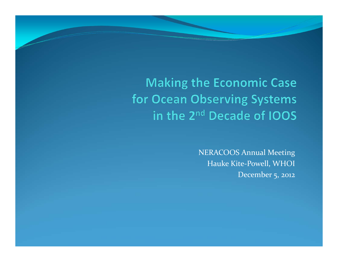#### **Making the Economic Case** for Ocean Observing Systems in the 2<sup>nd</sup> Decade of IOOS

NERACOOS Annual Meeting Hauke Kite ‐Powell, WHOI December 5, <sup>2012</sup>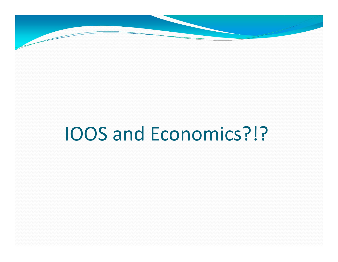

# IOOS and Economics?!?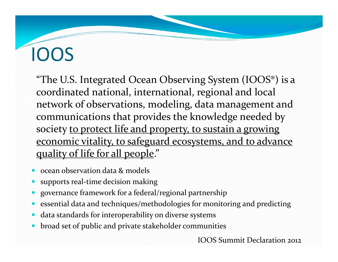# IOOS

"The U.S. Integrated Ocean Observing System (IOOS®) is a coordinated national, international, regional and local network of observations, modeling, data managemen<sup>t</sup> and communications that provides the knowledge needed by society to protect life and property, to sustain a growing economic vitality, to safeguard ecosystems, and to advance quality of life for all people."

- 0 • ocean observation data & models
- 0 supports real-time decision making
- 0 governance framework for <sup>a</sup> federal/regional partnership
- 0 essential data and techniques/methodologies for monitoring and predicting
- 0 data standards for interoperability on diverse systems
- 0 broad set of public and private stakeholder communities

IOOS Summit Declaration 2012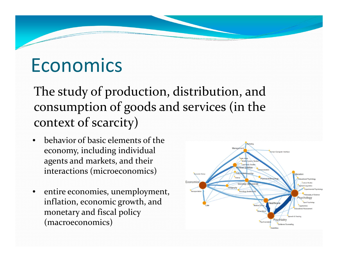#### Economics

The study of production, distribution, and consumption of goods and services (in the context of scarcity)

- • behavior of basic elements of theeconomy, including individual agents and markets, and their interactions (microeconomics)
- entire economies, unemployment, inflation, economic growth, and monetary and fiscal policy (macroeconomics)

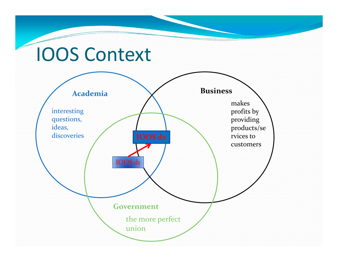#### IOOS Context

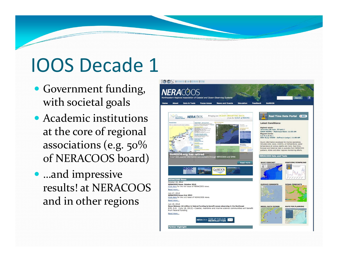# IOOS Decade 1

- Government funding, with societal goals
- Academic institutions at the core of regional associations (e.g. 50 $\%$ of NERACOOS board)
- …and impressive results! at NERACOOSand in other regions

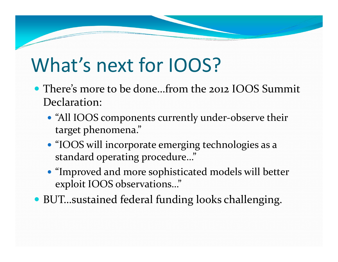## What's next for IOOS?

- There's more to be done…from the <sup>2012</sup> IOOS Summit Declaration:
	- "All IOOS components currently under-observe their target phenomena."
	- "IOOS will incorporate emerging technologies as <sup>a</sup> standard operating procedure…"
	- "Improved and more sophisticated models will better exploit IOOS observations…"
- BUT…sustained federal funding looks challenging.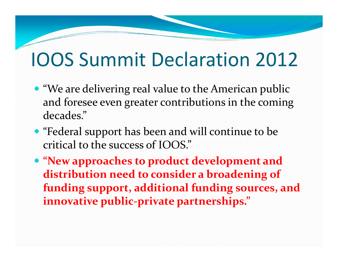### IOOS Summit Declaration 2012

- "We are delivering real value to the American public and foresee even greater contributions in the coming decades."
- "Federal suppor<sup>t</sup> has been and will continue to be critical to the success of IOOS."
- **"New approaches to product development and distribution need to consider <sup>a</sup> broadening of funding support, additional funding sources, and innovative public‐private partnerships."**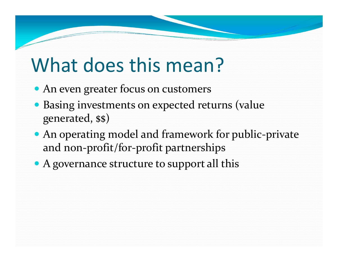## What does this mean?

- An even greater focus on customers
- Basing investments on expected returns (value generated, \$\$)
- An operating model and framework for public-private and non‐profit/for‐profit partnerships
- A governance structure to support all this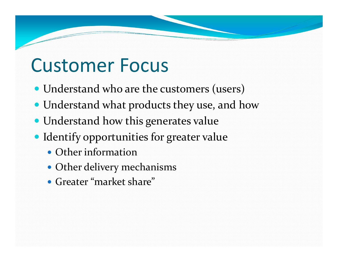#### Customer Focus

- Understand who are the customers (users)
- Understand what products they use, and how
- Understand how this generates value
- Identify opportunities for greater value
	- Other information
	- Other delivery mechanisms
	- Greater "market share"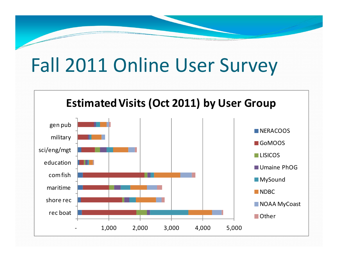## Fall 2011 Online User Survey

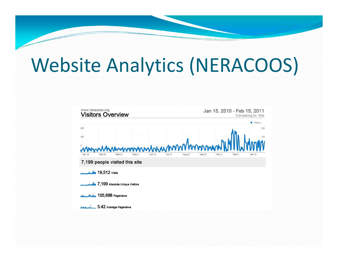## Website Analytics (NERACOOS)

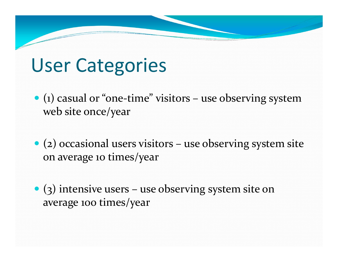### User Categories

- (1) casual or "one‐time" visitors use observing system web site once/year
- (2) occasional users visitors use observing system site on average <sup>10</sup> times/year
- (3) intensive users use observing system site on average <sup>100</sup> times/year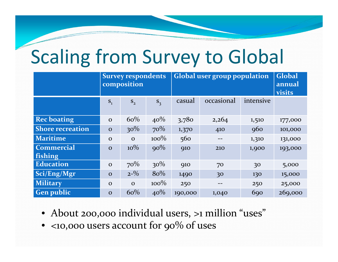## Scaling from Survey to Global

|                              | <b>Survey respondents</b><br>composition |              |         | <b>Global user group population</b> |            |            | <b>Global</b><br>annual<br>visits |
|------------------------------|------------------------------------------|--------------|---------|-------------------------------------|------------|------------|-----------------------------------|
|                              | $S_1$                                    | $S_{2}$      | $S_3$   | casual                              | occasional | intensive  |                                   |
| <b>Rec boating</b>           | $\mathbf{O}$                             | 60%          | $40\%$  | 3,780                               | 2,264      | 1,510      | 177,000                           |
| <b>Shore recreation</b>      | $\mathbf O$                              | $30\%$       | 70%     | 1,370                               | 410        | 960        | 101,000                           |
| <b>Maritime</b>              | $\mathbf{O}$                             | $\mathbf{O}$ | $100\%$ | 560                                 |            | 1,310      | 131,000                           |
| <b>Commercial</b><br>fishing | $\mathbf{O}$                             | $10\%$       | $90\%$  | <b>910</b>                          | 210        | 1,900      | 193,000                           |
| <b>Education</b>             | $\mathbf O$                              | $70\%$       | $30\%$  | <b>910</b>                          | 70         | 30         | 5,000                             |
| Sci/Eng/Mgr                  | $\mathbf{O}$                             | $2 - \%$     | $8o\%$  | 1490                                | 30         | 130        | 15,000                            |
| <b>Military</b>              | $\mathbf{O}$                             | $\mathbf{O}$ | $100\%$ | 250                                 |            | 250        | 25,000                            |
| <b>Gen public</b>            | $\Omega$                                 | 60%          | 40%     | 190,000                             | 1,040      | <b>690</b> | 269,000                           |

- About 200,000 individual users, >1 million "uses"
- $\bullet\,$  <10,000 users account for 90% of uses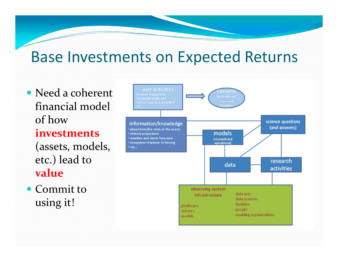#### Base Investments on Expected Returns

• Need a coherent financial model of how**investments**(assets, models, etc.) lead to **value**

• Commit to using it!

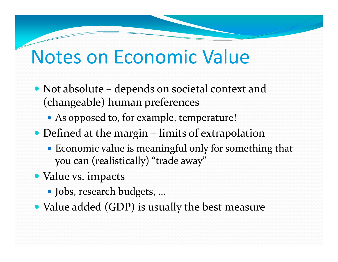#### Notes on Economic Value

- Not absolute depends on societal context and (changeable) human preferences
	- As opposed to, for example, temperature!
- Defined at the margin limits of extrapolation
	- Economic value is meaningful only for something that you can (realistically) "trade away"
- Value vs. impacts
	- Jobs, research budgets, …
- Value added (GDP) is usually the best measure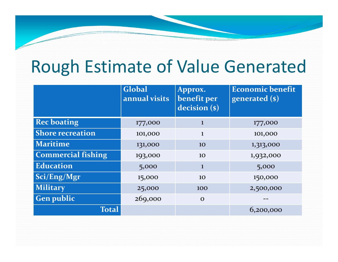#### Rough Estimate of Value Generated

|                           | Global<br>annual visits | Approx.<br>benefit per<br>decision (\$) | <b>Economic benefit</b><br>generated (\$) |
|---------------------------|-------------------------|-----------------------------------------|-------------------------------------------|
| <b>Rec boating</b>        | 177,000                 |                                         | 177,000                                   |
| <b>Shore recreation</b>   | 101,000                 | $\mathbf{1}$                            | 101,000                                   |
| <b>Maritime</b>           | 131,000                 | <b>10</b>                               | 1,313,000                                 |
| <b>Commercial fishing</b> | 193,000                 | 10                                      | 1,932,000                                 |
| <b>Education</b>          | 5,000                   | 1                                       | 5,000                                     |
| Sci/Eng/Mgr               | 15,000                  | 10                                      | 150,000                                   |
| <b>Military</b>           | 25,000                  | 100                                     | 2,500,000                                 |
| <b>Gen public</b>         | 269,000                 | $\Omega$                                |                                           |
| <b>Total</b>              |                         |                                         | 6,200,000                                 |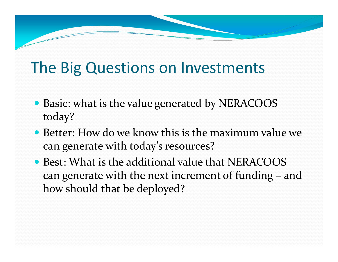#### The Big Questions on Investments

- Basic: what is the value generated by NERACOOS today?
- Better: How do we know this is the maximum value we can generate with today's resources?
- Best: What is the additional value that NERACOOS can generate with the next increment of funding – and how should that be deployed?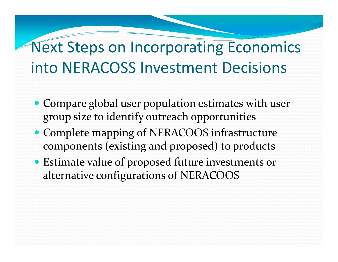#### Next Steps on Incorporating Economics into NERACOSS Investment Decisions

- Compare global user population estimates with user group size to identify outreach opportunities
- Complete mapping of NERACOOS infrastructure components (existing and proposed) to products
- Estimate value of proposed future investments or alternative configurations of NERACOOS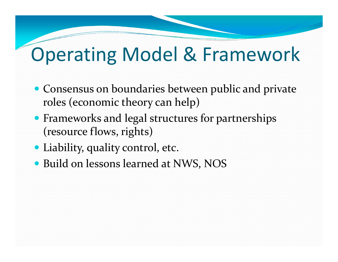#### Operating Model & Framework

- Consensus on boundaries between public and private roles (economic theory can help)
- Frameworks and legal structures for partnerships (resource flows, rights)
- Liability, quality control, etc.
- Build on lessons learned at NWS, NOS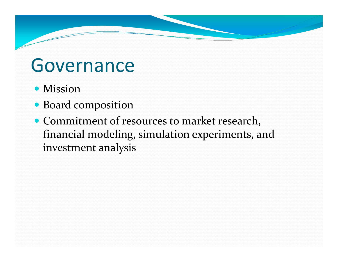#### Governance

- Mission
- Board composition
- Commitment of resources to market research, financial modeling, simulation experiments, and investment analysis